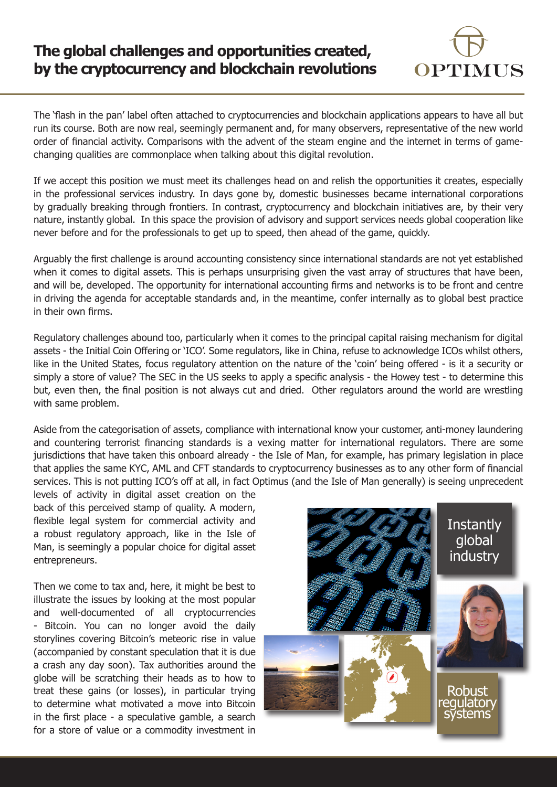## **The global challenges and opportunities created, by the cryptocurrency and blockchain revolutions**



The 'flash in the pan' label often attached to cryptocurrencies and blockchain applications appears to have all but run its course. Both are now real, seemingly permanent and, for many observers, representative of the new world order of financial activity. Comparisons with the advent of the steam engine and the internet in terms of gamechanging qualities are commonplace when talking about this digital revolution.

If we accept this position we must meet its challenges head on and relish the opportunities it creates, especially in the professional services industry. In days gone by, domestic businesses became international corporations by gradually breaking through frontiers. In contrast, cryptocurrency and blockchain initiatives are, by their very nature, instantly global. In this space the provision of advisory and support services needs global cooperation like never before and for the professionals to get up to speed, then ahead of the game, quickly.

Arguably the first challenge is around accounting consistency since international standards are not yet established when it comes to digital assets. This is perhaps unsurprising given the vast array of structures that have been, and will be, developed. The opportunity for international accounting firms and networks is to be front and centre in driving the agenda for acceptable standards and, in the meantime, confer internally as to global best practice in their own firms.

Regulatory challenges abound too, particularly when it comes to the principal capital raising mechanism for digital assets - the Initial Coin Offering or 'ICO'. Some regulators, like in China, refuse to acknowledge ICOs whilst others, like in the United States, focus regulatory attention on the nature of the 'coin' being offered - is it a security or simply a store of value? The SEC in the US seeks to apply a specific analysis - the Howey test - to determine this but, even then, the final position is not always cut and dried. Other regulators around the world are wrestling with same problem.

Aside from the categorisation of assets, compliance with international know your customer, anti-money laundering and countering terrorist financing standards is a vexing matter for international regulators. There are some jurisdictions that have taken this onboard already - the Isle of Man, for example, has primary legislation in place that applies the same KYC, AML and CFT standards to cryptocurrency businesses as to any other form of financial services. This is not putting ICO's off at all, in fact Optimus (and the Isle of Man generally) is seeing unprecedent

levels of activity in digital asset creation on the back of this perceived stamp of quality. A modern, flexible legal system for commercial activity and a robust regulatory approach, like in the Isle of Man, is seemingly a popular choice for digital asset entrepreneurs.

Then we come to tax and, here, it might be best to illustrate the issues by looking at the most popular and well-documented of all cryptocurrencies - Bitcoin. You can no longer avoid the daily storylines covering Bitcoin's meteoric rise in value (accompanied by constant speculation that it is due a crash any day soon). Tax authorities around the globe will be scratching their heads as to how to treat these gains (or losses), in particular trying to determine what motivated a move into Bitcoin in the first place - a speculative gamble, a search for a store of value or a commodity investment in